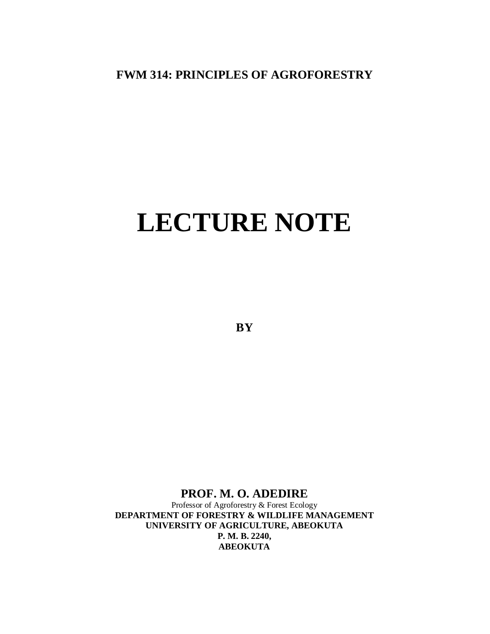## **FWM 314: PRINCIPLES OF AGROFORESTRY**

# **LECTURE NOTE**

**BY**

## **PROF. M. O. ADEDIRE**

Professor of Agroforestry & Forest Ecology **DEPARTMENT OF FORESTRY & WILDLIFE MANAGEMENT UNIVERSITY OF AGRICULTURE, ABEOKUTA P. M. B. 2240, ABEOKUTA**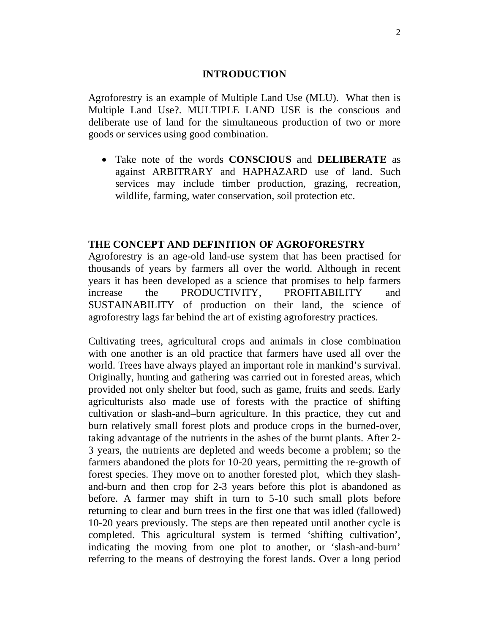#### **INTRODUCTION**

Agroforestry is an example of Multiple Land Use (MLU). What then is Multiple Land Use?. MULTIPLE LAND USE is the conscious and deliberate use of land for the simultaneous production of two or more goods or services using good combination.

 Take note of the words **CONSCIOUS** and **DELIBERATE** as against ARBITRARY and HAPHAZARD use of land. Such services may include timber production, grazing, recreation, wildlife, farming, water conservation, soil protection etc.

#### **THE CONCEPT AND DEFINITION OF AGROFORESTRY**

Agroforestry is an age-old land-use system that has been practised for thousands of years by farmers all over the world. Although in recent years it has been developed as a science that promises to help farmers increase the PRODUCTIVITY, PROFITABILITY and SUSTAINABILITY of production on their land, the science of agroforestry lags far behind the art of existing agroforestry practices.

Cultivating trees, agricultural crops and animals in close combination with one another is an old practice that farmers have used all over the world. Trees have always played an important role in mankind's survival. Originally, hunting and gathering was carried out in forested areas, which provided not only shelter but food, such as game, fruits and seeds. Early agriculturists also made use of forests with the practice of shifting cultivation or slash-and–burn agriculture. In this practice, they cut and burn relatively small forest plots and produce crops in the burned-over, taking advantage of the nutrients in the ashes of the burnt plants. After 2- 3 years, the nutrients are depleted and weeds become a problem; so the farmers abandoned the plots for 10-20 years, permitting the re-growth of forest species. They move on to another forested plot, which they slashand-burn and then crop for 2-3 years before this plot is abandoned as before. A farmer may shift in turn to 5-10 such small plots before returning to clear and burn trees in the first one that was idled (fallowed) 10-20 years previously. The steps are then repeated until another cycle is completed. This agricultural system is termed 'shifting cultivation', indicating the moving from one plot to another, or 'slash-and-burn' referring to the means of destroying the forest lands. Over a long period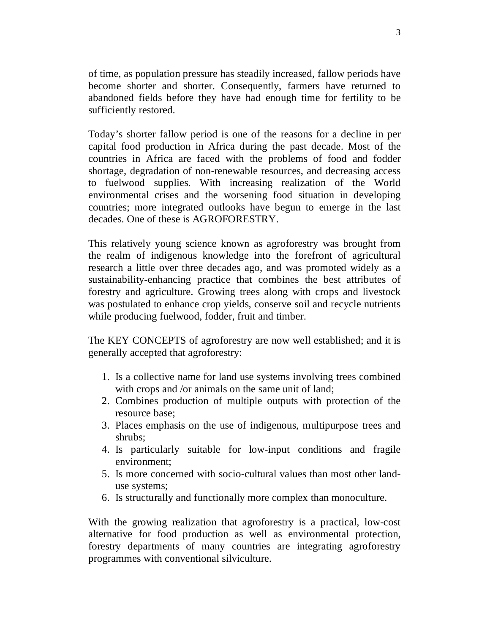of time, as population pressure has steadily increased, fallow periods have become shorter and shorter. Consequently, farmers have returned to abandoned fields before they have had enough time for fertility to be sufficiently restored.

Today's shorter fallow period is one of the reasons for a decline in per capital food production in Africa during the past decade. Most of the countries in Africa are faced with the problems of food and fodder shortage, degradation of non-renewable resources, and decreasing access to fuelwood supplies. With increasing realization of the World environmental crises and the worsening food situation in developing countries; more integrated outlooks have begun to emerge in the last decades. One of these is AGROFORESTRY.

This relatively young science known as agroforestry was brought from the realm of indigenous knowledge into the forefront of agricultural research a little over three decades ago, and was promoted widely as a sustainability-enhancing practice that combines the best attributes of forestry and agriculture. Growing trees along with crops and livestock was postulated to enhance crop yields, conserve soil and recycle nutrients while producing fuelwood, fodder, fruit and timber.

The KEY CONCEPTS of agroforestry are now well established; and it is generally accepted that agroforestry:

- 1. Is a collective name for land use systems involving trees combined with crops and /or animals on the same unit of land;
- 2. Combines production of multiple outputs with protection of the resource base;
- 3. Places emphasis on the use of indigenous, multipurpose trees and shrubs;
- 4. Is particularly suitable for low-input conditions and fragile environment;
- 5. Is more concerned with socio-cultural values than most other landuse systems;
- 6. Is structurally and functionally more complex than monoculture.

With the growing realization that agroforestry is a practical, low-cost alternative for food production as well as environmental protection, forestry departments of many countries are integrating agroforestry programmes with conventional silviculture.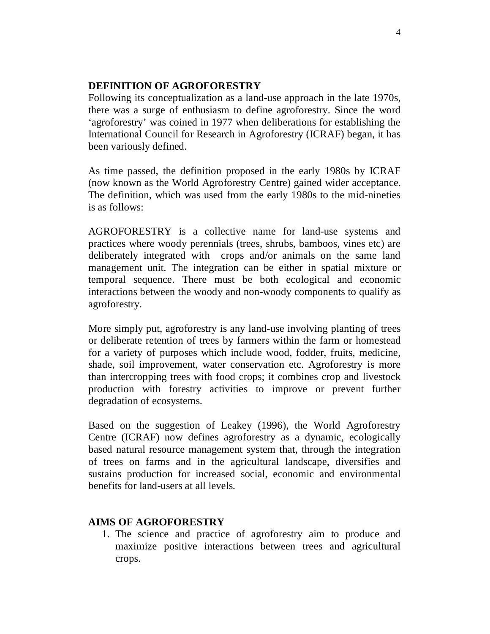#### **DEFINITION OF AGROFORESTRY**

Following its conceptualization as a land-use approach in the late 1970s, there was a surge of enthusiasm to define agroforestry. Since the word 'agroforestry' was coined in 1977 when deliberations for establishing the International Council for Research in Agroforestry (ICRAF) began, it has been variously defined.

As time passed, the definition proposed in the early 1980s by ICRAF (now known as the World Agroforestry Centre) gained wider acceptance. The definition, which was used from the early 1980s to the mid-nineties is as follows:

AGROFORESTRY is a collective name for land-use systems and practices where woody perennials (trees, shrubs, bamboos, vines etc) are deliberately integrated with crops and/or animals on the same land management unit. The integration can be either in spatial mixture or temporal sequence. There must be both ecological and economic interactions between the woody and non-woody components to qualify as agroforestry.

More simply put, agroforestry is any land-use involving planting of trees or deliberate retention of trees by farmers within the farm or homestead for a variety of purposes which include wood, fodder, fruits, medicine, shade, soil improvement, water conservation etc. Agroforestry is more than intercropping trees with food crops; it combines crop and livestock production with forestry activities to improve or prevent further degradation of ecosystems.

Based on the suggestion of Leakey (1996), the World Agroforestry Centre (ICRAF) now defines agroforestry as a dynamic, ecologically based natural resource management system that, through the integration of trees on farms and in the agricultural landscape, diversifies and sustains production for increased social, economic and environmental benefits for land-users at all levels.

#### **AIMS OF AGROFORESTRY**

1. The science and practice of agroforestry aim to produce and maximize positive interactions between trees and agricultural crops.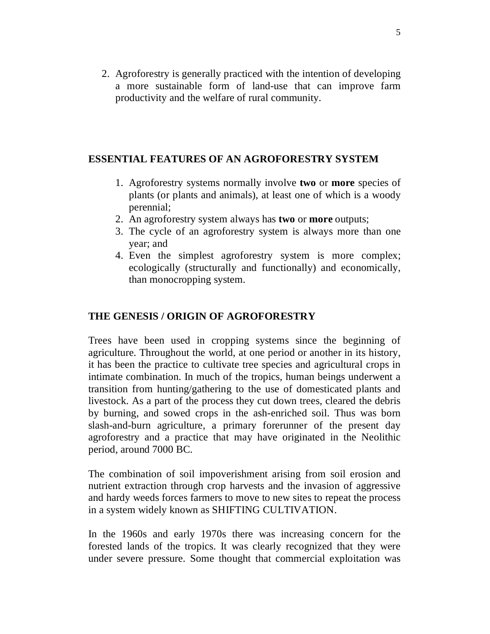2. Agroforestry is generally practiced with the intention of developing a more sustainable form of land-use that can improve farm productivity and the welfare of rural community.

#### **ESSENTIAL FEATURES OF AN AGROFORESTRY SYSTEM**

- 1. Agroforestry systems normally involve **two** or **more** species of plants (or plants and animals), at least one of which is a woody perennial;
- 2. An agroforestry system always has **two** or **more** outputs;
- 3. The cycle of an agroforestry system is always more than one year; and
- 4. Even the simplest agroforestry system is more complex; ecologically (structurally and functionally) and economically, than monocropping system.

## **THE GENESIS / ORIGIN OF AGROFORESTRY**

Trees have been used in cropping systems since the beginning of agriculture. Throughout the world, at one period or another in its history, it has been the practice to cultivate tree species and agricultural crops in intimate combination. In much of the tropics, human beings underwent a transition from hunting/gathering to the use of domesticated plants and livestock. As a part of the process they cut down trees, cleared the debris by burning, and sowed crops in the ash-enriched soil. Thus was born slash-and-burn agriculture, a primary forerunner of the present day agroforestry and a practice that may have originated in the Neolithic period, around 7000 BC.

The combination of soil impoverishment arising from soil erosion and nutrient extraction through crop harvests and the invasion of aggressive and hardy weeds forces farmers to move to new sites to repeat the process in a system widely known as SHIFTING CULTIVATION.

In the 1960s and early 1970s there was increasing concern for the forested lands of the tropics. It was clearly recognized that they were under severe pressure. Some thought that commercial exploitation was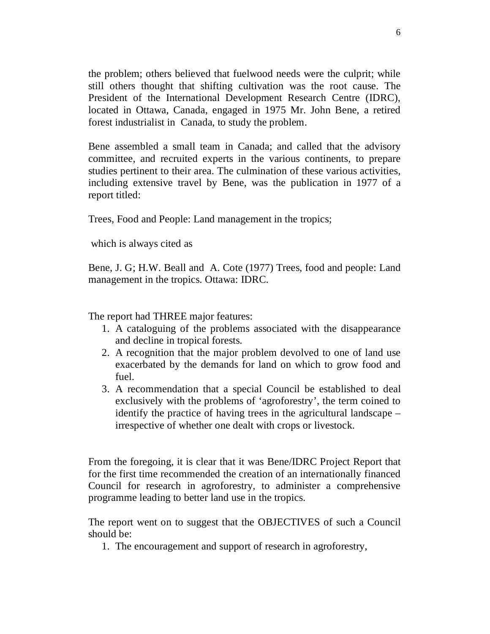the problem; others believed that fuelwood needs were the culprit; while still others thought that shifting cultivation was the root cause. The President of the International Development Research Centre (IDRC), located in Ottawa, Canada, engaged in 1975 Mr. John Bene, a retired forest industrialist in Canada, to study the problem.

Bene assembled a small team in Canada; and called that the advisory committee, and recruited experts in the various continents, to prepare studies pertinent to their area. The culmination of these various activities, including extensive travel by Bene, was the publication in 1977 of a report titled:

Trees, Food and People: Land management in the tropics;

which is always cited as

Bene, J. G; H.W. Beall and A. Cote (1977) Trees, food and people: Land management in the tropics. Ottawa: IDRC.

The report had THREE major features:

- 1. A cataloguing of the problems associated with the disappearance and decline in tropical forests.
- 2. A recognition that the major problem devolved to one of land use exacerbated by the demands for land on which to grow food and fuel.
- 3. A recommendation that a special Council be established to deal exclusively with the problems of 'agroforestry', the term coined to identify the practice of having trees in the agricultural landscape – irrespective of whether one dealt with crops or livestock.

From the foregoing, it is clear that it was Bene/IDRC Project Report that for the first time recommended the creation of an internationally financed Council for research in agroforestry, to administer a comprehensive programme leading to better land use in the tropics.

The report went on to suggest that the OBJECTIVES of such a Council should be:

1. The encouragement and support of research in agroforestry,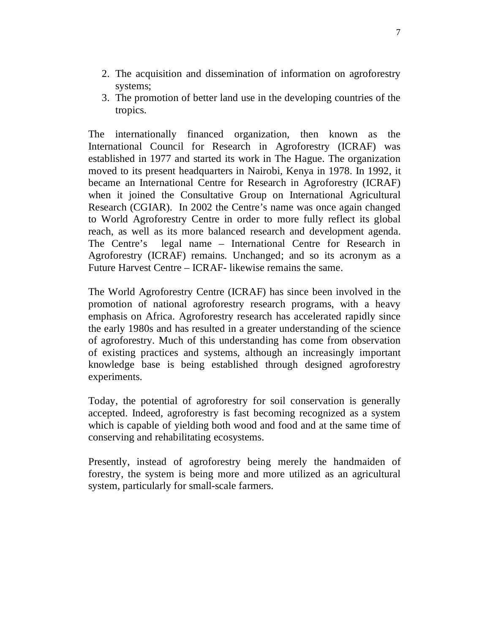- 2. The acquisition and dissemination of information on agroforestry systems;
- 3. The promotion of better land use in the developing countries of the tropics.

The internationally financed organization, then known as the International Council for Research in Agroforestry (ICRAF) was established in 1977 and started its work in The Hague. The organization moved to its present headquarters in Nairobi, Kenya in 1978. In 1992, it became an International Centre for Research in Agroforestry (ICRAF) when it joined the Consultative Group on International Agricultural Research (CGIAR). In 2002 the Centre's name was once again changed to World Agroforestry Centre in order to more fully reflect its global reach, as well as its more balanced research and development agenda. The Centre's legal name – International Centre for Research in Agroforestry (ICRAF) remains. Unchanged; and so its acronym as a Future Harvest Centre – ICRAF- likewise remains the same.

The World Agroforestry Centre (ICRAF) has since been involved in the promotion of national agroforestry research programs, with a heavy emphasis on Africa. Agroforestry research has accelerated rapidly since the early 1980s and has resulted in a greater understanding of the science of agroforestry. Much of this understanding has come from observation of existing practices and systems, although an increasingly important knowledge base is being established through designed agroforestry experiments.

Today, the potential of agroforestry for soil conservation is generally accepted. Indeed, agroforestry is fast becoming recognized as a system which is capable of yielding both wood and food and at the same time of conserving and rehabilitating ecosystems.

Presently, instead of agroforestry being merely the handmaiden of forestry, the system is being more and more utilized as an agricultural system, particularly for small-scale farmers.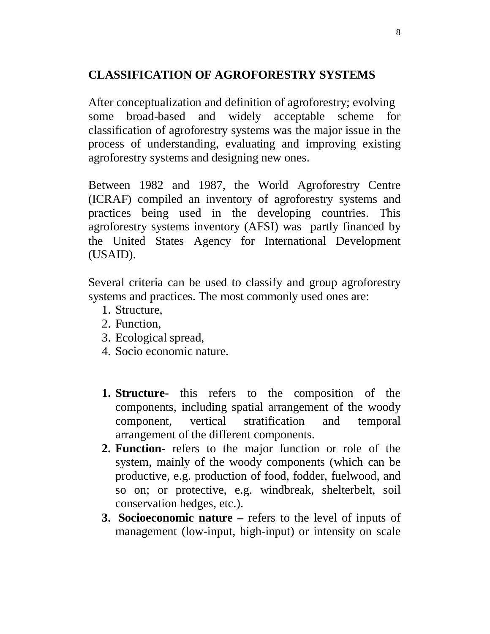## **CLASSIFICATION OF AGROFORESTRY SYSTEMS**

After conceptualization and definition of agroforestry; evolving some broad-based and widely acceptable scheme for classification of agroforestry systems was the major issue in the process of understanding, evaluating and improving existing agroforestry systems and designing new ones.

Between 1982 and 1987, the World Agroforestry Centre (ICRAF) compiled an inventory of agroforestry systems and practices being used in the developing countries. This agroforestry systems inventory (AFSI) was partly financed by the United States Agency for International Development (USAID).

Several criteria can be used to classify and group agroforestry systems and practices. The most commonly used ones are:

- 1. Structure,
- 2. Function,
- 3. Ecological spread,
- 4. Socio economic nature.
- **1. Structure-** this refers to the composition of the components, including spatial arrangement of the woody component, vertical stratification and temporal arrangement of the different components.
- **2. Function-** refers to the major function or role of the system, mainly of the woody components (which can be productive, e.g. production of food, fodder, fuelwood, and so on; or protective, e.g. windbreak, shelterbelt, soil conservation hedges, etc.).
- **3. Socioeconomic nature –** refers to the level of inputs of management (low-input, high-input) or intensity on scale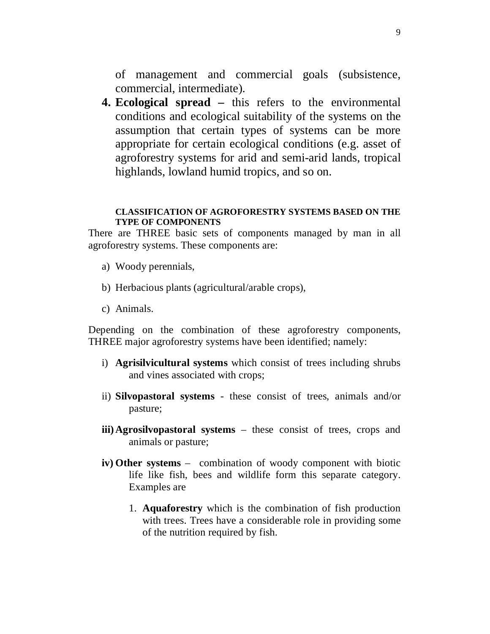of management and commercial goals (subsistence, commercial, intermediate).

**4. Ecological spread –** this refers to the environmental conditions and ecological suitability of the systems on the assumption that certain types of systems can be more appropriate for certain ecological conditions (e.g. asset of agroforestry systems for arid and semi-arid lands, tropical highlands, lowland humid tropics, and so on.

#### **CLASSIFICATION OF AGROFORESTRY SYSTEMS BASED ON THE TYPE OF COMPONENTS**

There are THREE basic sets of components managed by man in all agroforestry systems. These components are:

- a) Woody perennials,
- b) Herbacious plants (agricultural/arable crops),
- c) Animals.

Depending on the combination of these agroforestry components, THREE major agroforestry systems have been identified; namely:

- i) **Agrisilvicultural systems** which consist of trees including shrubs and vines associated with crops;
- ii) **Silvopastoral systems** these consist of trees, animals and/or pasture;
- **iii)Agrosilvopastoral systems** these consist of trees, crops and animals or pasture;
- **iv) Other systems**  combination of woody component with biotic life like fish, bees and wildlife form this separate category. Examples are
	- 1. **Aquaforestry** which is the combination of fish production with trees. Trees have a considerable role in providing some of the nutrition required by fish.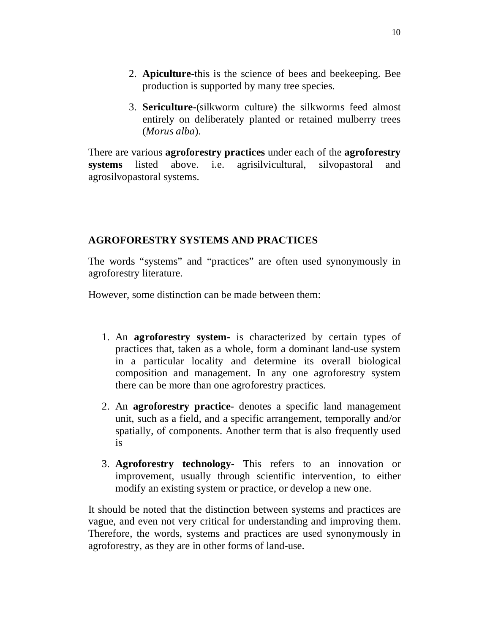- 2. **Apiculture-**this is the science of bees and beekeeping. Bee production is supported by many tree species.
- 3. **Sericulture-**(silkworm culture) the silkworms feed almost entirely on deliberately planted or retained mulberry trees (*Morus alba*).

There are various **agroforestry practices** under each of the **agroforestry systems** listed above. i.e. agrisilvicultural, silvopastoral and agrosilvopastoral systems.

## **AGROFORESTRY SYSTEMS AND PRACTICES**

The words "systems" and "practices" are often used synonymously in agroforestry literature.

However, some distinction can be made between them:

- 1. An **agroforestry system-** is characterized by certain types of practices that, taken as a whole, form a dominant land-use system in a particular locality and determine its overall biological composition and management. In any one agroforestry system there can be more than one agroforestry practices.
- 2. An **agroforestry practice-** denotes a specific land management unit, such as a field, and a specific arrangement, temporally and/or spatially, of components. Another term that is also frequently used is
- 3. **Agroforestry technology-** This refers to an innovation or improvement, usually through scientific intervention, to either modify an existing system or practice, or develop a new one.

It should be noted that the distinction between systems and practices are vague, and even not very critical for understanding and improving them. Therefore, the words, systems and practices are used synonymously in agroforestry, as they are in other forms of land-use.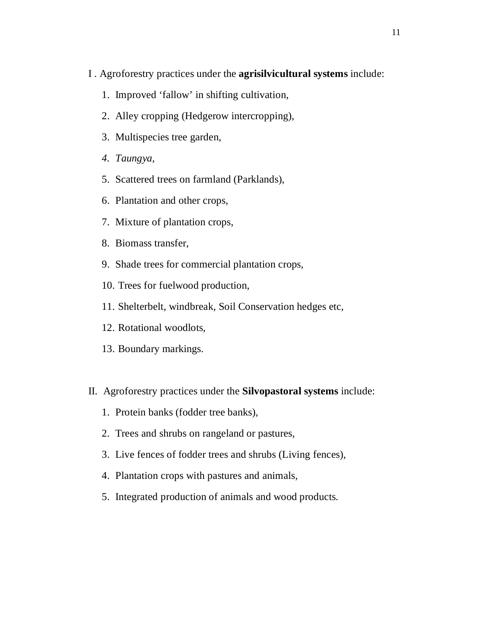- I . Agroforestry practices under the **agrisilvicultural systems** include:
	- 1. Improved 'fallow' in shifting cultivation,
	- 2. Alley cropping (Hedgerow intercropping),
	- 3. Multispecies tree garden,
	- *4. Taungya,*
	- 5. Scattered trees on farmland (Parklands),
	- 6. Plantation and other crops,
	- 7. Mixture of plantation crops,
	- 8. Biomass transfer,
	- 9. Shade trees for commercial plantation crops,
	- 10. Trees for fuelwood production,
	- 11. Shelterbelt, windbreak, Soil Conservation hedges etc,
	- 12. Rotational woodlots,
	- 13. Boundary markings.
- II. Agroforestry practices under the **Silvopastoral systems** include:
	- 1. Protein banks (fodder tree banks),
	- 2. Trees and shrubs on rangeland or pastures,
	- 3. Live fences of fodder trees and shrubs (Living fences),
	- 4. Plantation crops with pastures and animals,
	- 5. Integrated production of animals and wood products.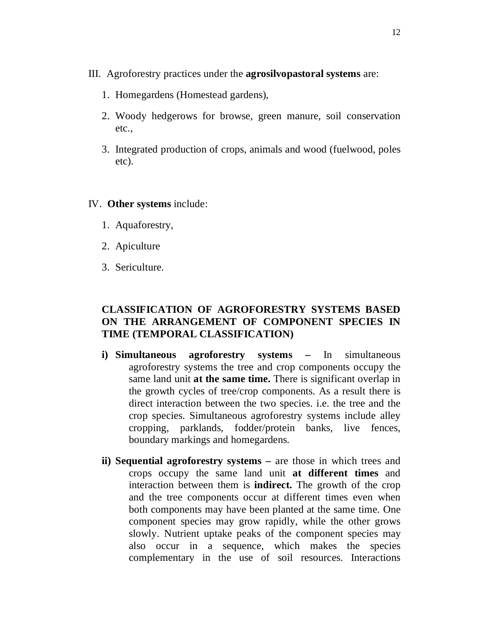- III. Agroforestry practices under the **agrosilvopastoral systems** are:
	- 1. Homegardens (Homestead gardens),
	- 2. Woody hedgerows for browse, green manure, soil conservation etc.,
	- 3. Integrated production of crops, animals and wood (fuelwood, poles etc).

#### IV. **Other systems** include:

- 1. Aquaforestry,
- 2. Apiculture
- 3. Sericulture.

## **CLASSIFICATION OF AGROFORESTRY SYSTEMS BASED ON THE ARRANGEMENT OF COMPONENT SPECIES IN TIME (TEMPORAL CLASSIFICATION)**

- **i) Simultaneous agroforestry systems –** In simultaneous agroforestry systems the tree and crop components occupy the same land unit **at the same time.** There is significant overlap in the growth cycles of tree/crop components. As a result there is direct interaction between the two species. i.e. the tree and the crop species. Simultaneous agroforestry systems include alley cropping, parklands, fodder/protein banks, live fences, boundary markings and homegardens.
- **ii) Sequential agroforestry systems –** are those in which trees and crops occupy the same land unit **at different times** and interaction between them is **indirect.** The growth of the crop and the tree components occur at different times even when both components may have been planted at the same time. One component species may grow rapidly, while the other grows slowly. Nutrient uptake peaks of the component species may also occur in a sequence, which makes the species complementary in the use of soil resources. Interactions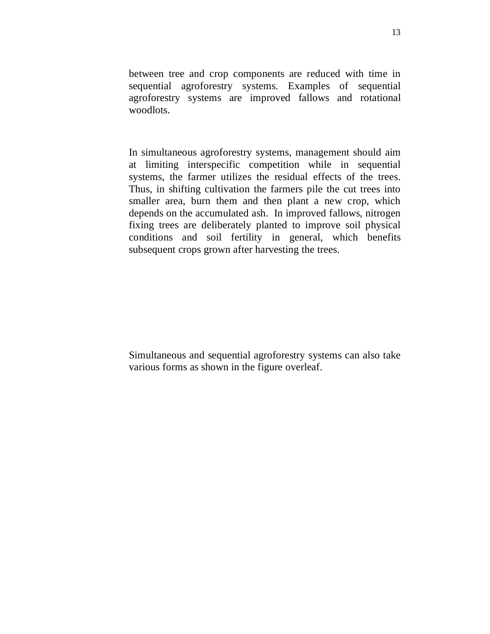between tree and crop components are reduced with time in sequential agroforestry systems. Examples of sequential agroforestry systems are improved fallows and rotational woodlots.

In simultaneous agroforestry systems, management should aim at limiting interspecific competition while in sequential systems, the farmer utilizes the residual effects of the trees. Thus, in shifting cultivation the farmers pile the cut trees into smaller area, burn them and then plant a new crop, which depends on the accumulated ash. In improved fallows, nitrogen fixing trees are deliberately planted to improve soil physical conditions and soil fertility in general, which benefits subsequent crops grown after harvesting the trees.

Simultaneous and sequential agroforestry systems can also take various forms as shown in the figure overleaf.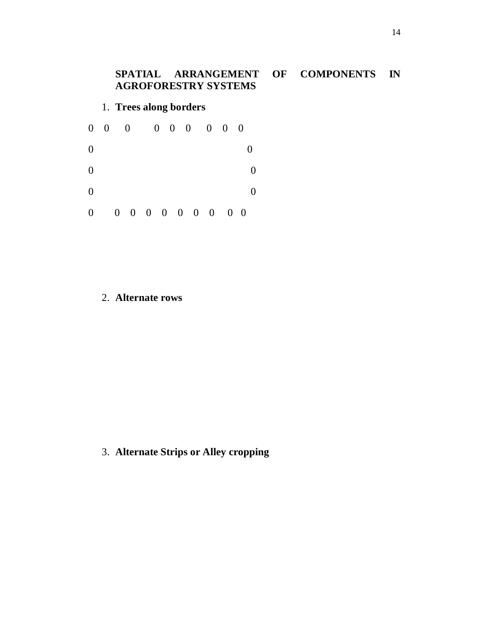## **SPATIAL ARRANGEMENT OF COMPONENTS IN AGROFORESTRY SYSTEMS**

## 1. **Trees along borders**

|                  | $0 \quad 0$ | $\overline{0}$              |  |  | $0 \t 0 \t 0 \t 0 \t 0 \t 0$ |  |            |                |
|------------------|-------------|-----------------------------|--|--|------------------------------|--|------------|----------------|
| $\overline{0}$   |             |                             |  |  |                              |  |            | $\overline{0}$ |
| $\overline{0}$   |             |                             |  |  |                              |  |            |                |
| $\boldsymbol{0}$ |             |                             |  |  |                              |  |            |                |
| $\boldsymbol{0}$ |             | $0 \t0 \t0 \t0 \t0 \t0 \t0$ |  |  |                              |  | $0\quad 0$ |                |

#### 2. **Alternate rows**

3. **Alternate Strips or Alley cropping**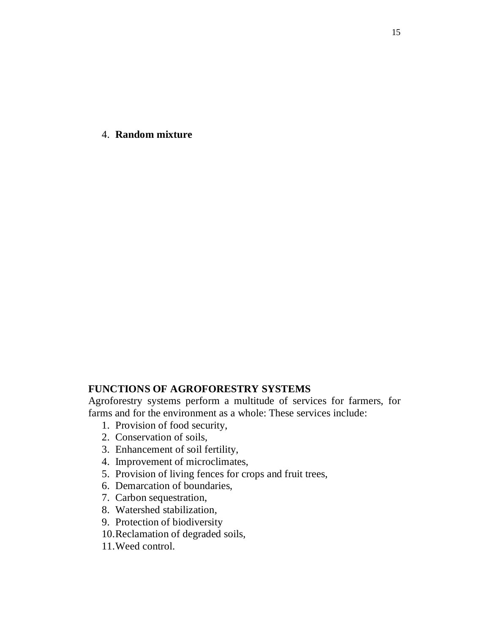4. **Random mixture**

## **FUNCTIONS OF AGROFORESTRY SYSTEMS**

Agroforestry systems perform a multitude of services for farmers, for farms and for the environment as a whole: These services include:

- 1. Provision of food security,
- 2. Conservation of soils,
- 3. Enhancement of soil fertility,
- 4. Improvement of microclimates,
- 5. Provision of living fences for crops and fruit trees,
- 6. Demarcation of boundaries,
- 7. Carbon sequestration,
- 8. Watershed stabilization,
- 9. Protection of biodiversity
- 10.Reclamation of degraded soils,
- 11.Weed control.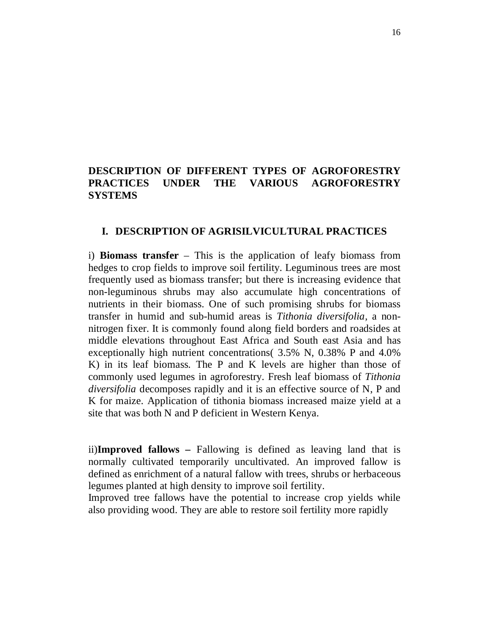## **DESCRIPTION OF DIFFERENT TYPES OF AGROFORESTRY PRACTICES UNDER THE VARIOUS AGROFORESTRY SYSTEMS**

#### **I. DESCRIPTION OF AGRISILVICULTURAL PRACTICES**

i) **Biomass transfer** – This is the application of leafy biomass from hedges to crop fields to improve soil fertility. Leguminous trees are most frequently used as biomass transfer; but there is increasing evidence that non-leguminous shrubs may also accumulate high concentrations of nutrients in their biomass. One of such promising shrubs for biomass transfer in humid and sub-humid areas is *Tithonia diversifolia,* a nonnitrogen fixer. It is commonly found along field borders and roadsides at middle elevations throughout East Africa and South east Asia and has exceptionally high nutrient concentrations( 3.5% N, 0.38% P and 4.0% K) in its leaf biomass. The P and K levels are higher than those of commonly used legumes in agroforestry. Fresh leaf biomass of *Tithonia diversifolia* decomposes rapidly and it is an effective source of N, P and K for maize. Application of tithonia biomass increased maize yield at a site that was both N and P deficient in Western Kenya.

ii)**Improved fallows –** Fallowing is defined as leaving land that is normally cultivated temporarily uncultivated. An improved fallow is defined as enrichment of a natural fallow with trees, shrubs or herbaceous legumes planted at high density to improve soil fertility.

Improved tree fallows have the potential to increase crop yields while also providing wood. They are able to restore soil fertility more rapidly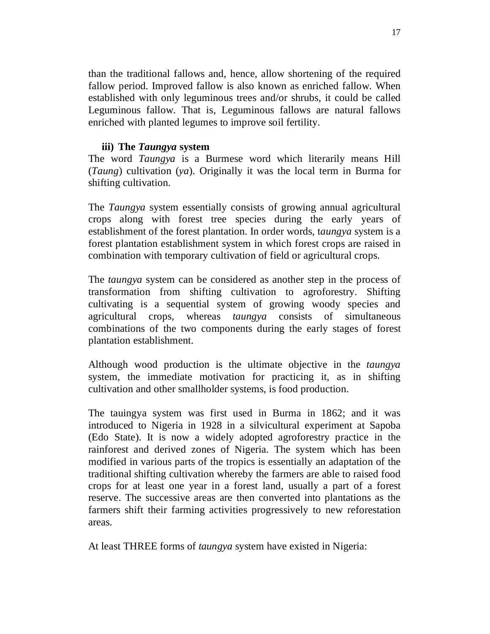than the traditional fallows and, hence, allow shortening of the required fallow period. Improved fallow is also known as enriched fallow. When established with only leguminous trees and/or shrubs, it could be called Leguminous fallow. That is, Leguminous fallows are natural fallows enriched with planted legumes to improve soil fertility.

#### **iii) The** *Taungya* **system**

The word *Taungya* is a Burmese word which literarily means Hill (*Taung*) cultivation (*ya*). Originally it was the local term in Burma for shifting cultivation.

The *Taungya* system essentially consists of growing annual agricultural crops along with forest tree species during the early years of establishment of the forest plantation. In order words, t*aungya* system is a forest plantation establishment system in which forest crops are raised in combination with temporary cultivation of field or agricultural crops.

The *taungya* system can be considered as another step in the process of transformation from shifting cultivation to agroforestry. Shifting cultivating is a sequential system of growing woody species and agricultural crops, whereas *taungya* consists of simultaneous combinations of the two components during the early stages of forest plantation establishment.

Although wood production is the ultimate objective in the *taungya* system, the immediate motivation for practicing it, as in shifting cultivation and other smallholder systems, is food production.

The tauingya system was first used in Burma in 1862; and it was introduced to Nigeria in 1928 in a silvicultural experiment at Sapoba (Edo State). It is now a widely adopted agroforestry practice in the rainforest and derived zones of Nigeria. The system which has been modified in various parts of the tropics is essentially an adaptation of the traditional shifting cultivation whereby the farmers are able to raised food crops for at least one year in a forest land, usually a part of a forest reserve. The successive areas are then converted into plantations as the farmers shift their farming activities progressively to new reforestation areas.

At least THREE forms of *taungya* system have existed in Nigeria: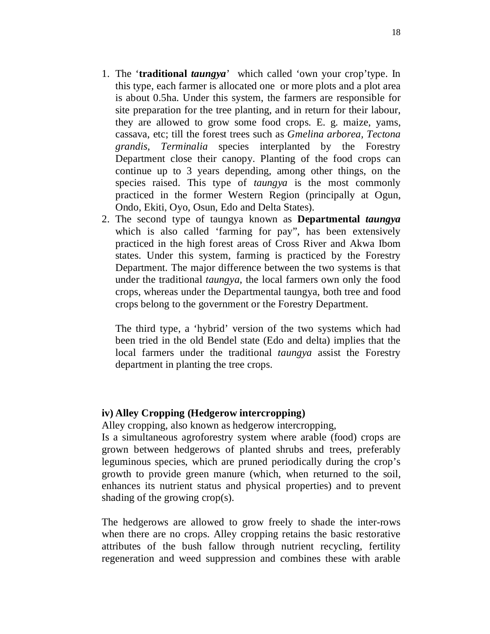- 1. The '**traditional** *taungya*' which called 'own your crop'type. In this type, each farmer is allocated one or more plots and a plot area is about 0.5ha. Under this system, the farmers are responsible for site preparation for the tree planting, and in return for their labour, they are allowed to grow some food crops. E. g. maize, yams, cassava, etc; till the forest trees such as *Gmelina arborea, Tectona grandis, Terminalia* species interplanted by the Forestry Department close their canopy. Planting of the food crops can continue up to 3 years depending, among other things, on the species raised. This type of *taungya* is the most commonly practiced in the former Western Region (principally at Ogun, Ondo, Ekiti, Oyo, Osun, Edo and Delta States).
- 2. The second type of taungya known as **Departmental** *taungya* which is also called 'farming for pay", has been extensively practiced in the high forest areas of Cross River and Akwa Ibom states. Under this system, farming is practiced by the Forestry Department. The major difference between the two systems is that under the traditional *taungya*, the local farmers own only the food crops, whereas under the Departmental taungya, both tree and food crops belong to the government or the Forestry Department.

The third type, a 'hybrid' version of the two systems which had been tried in the old Bendel state (Edo and delta) implies that the local farmers under the traditional *taungya* assist the Forestry department in planting the tree crops.

#### **iv) Alley Cropping (Hedgerow intercropping)**

Alley cropping, also known as hedgerow intercropping,

Is a simultaneous agroforestry system where arable (food) crops are grown between hedgerows of planted shrubs and trees, preferably leguminous species, which are pruned periodically during the crop's growth to provide green manure (which, when returned to the soil, enhances its nutrient status and physical properties) and to prevent shading of the growing crop(s).

The hedgerows are allowed to grow freely to shade the inter-rows when there are no crops. Alley cropping retains the basic restorative attributes of the bush fallow through nutrient recycling, fertility regeneration and weed suppression and combines these with arable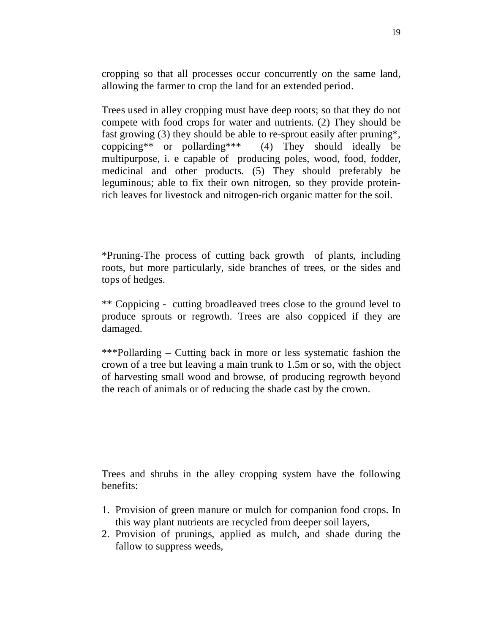cropping so that all processes occur concurrently on the same land, allowing the farmer to crop the land for an extended period.

Trees used in alley cropping must have deep roots; so that they do not compete with food crops for water and nutrients. (2) They should be fast growing (3) they should be able to re-sprout easily after pruning\*, coppicing\*\* or pollarding\*\*\* (4) They should ideally be multipurpose, i. e capable of producing poles, wood, food, fodder, medicinal and other products. (5) They should preferably be leguminous; able to fix their own nitrogen, so they provide proteinrich leaves for livestock and nitrogen-rich organic matter for the soil.

\*Pruning-The process of cutting back growth of plants, including roots, but more particularly, side branches of trees, or the sides and tops of hedges.

\*\* Coppicing - cutting broadleaved trees close to the ground level to produce sprouts or regrowth. Trees are also coppiced if they are damaged.

\*\*\*Pollarding – Cutting back in more or less systematic fashion the crown of a tree but leaving a main trunk to 1.5m or so, with the object of harvesting small wood and browse, of producing regrowth beyond the reach of animals or of reducing the shade cast by the crown.

Trees and shrubs in the alley cropping system have the following benefits:

- 1. Provision of green manure or mulch for companion food crops. In this way plant nutrients are recycled from deeper soil layers,
- 2. Provision of prunings, applied as mulch, and shade during the fallow to suppress weeds,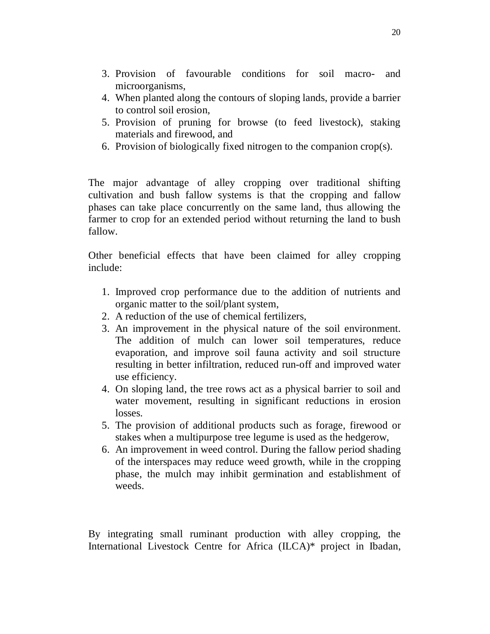- 3. Provision of favourable conditions for soil macro- and microorganisms,
- 4. When planted along the contours of sloping lands, provide a barrier to control soil erosion,
- 5. Provision of pruning for browse (to feed livestock), staking materials and firewood, and
- 6. Provision of biologically fixed nitrogen to the companion crop(s).

The major advantage of alley cropping over traditional shifting cultivation and bush fallow systems is that the cropping and fallow phases can take place concurrently on the same land, thus allowing the farmer to crop for an extended period without returning the land to bush fallow.

Other beneficial effects that have been claimed for alley cropping include:

- 1. Improved crop performance due to the addition of nutrients and organic matter to the soil/plant system,
- 2. A reduction of the use of chemical fertilizers,
- 3. An improvement in the physical nature of the soil environment. The addition of mulch can lower soil temperatures, reduce evaporation, and improve soil fauna activity and soil structure resulting in better infiltration, reduced run-off and improved water use efficiency.
- 4. On sloping land, the tree rows act as a physical barrier to soil and water movement, resulting in significant reductions in erosion losses.
- 5. The provision of additional products such as forage, firewood or stakes when a multipurpose tree legume is used as the hedgerow,
- 6. An improvement in weed control. During the fallow period shading of the interspaces may reduce weed growth, while in the cropping phase, the mulch may inhibit germination and establishment of weeds.

By integrating small ruminant production with alley cropping, the International Livestock Centre for Africa (ILCA)\* project in Ibadan,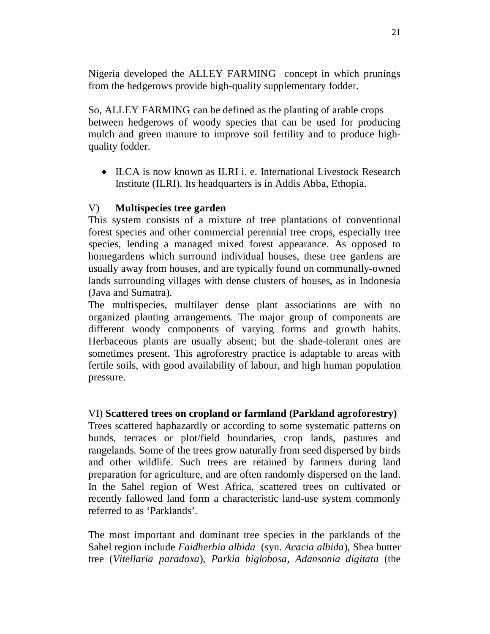Nigeria developed the ALLEY FARMING concept in which prunings from the hedgerows provide high-quality supplementary fodder.

So, ALLEY FARMING can be defined as the planting of arable crops between hedgerows of woody species that can be used for producing mulch and green manure to improve soil fertility and to produce highquality fodder.

• ILCA is now known as ILRI i. e. International Livestock Research Institute (ILRI). Its headquarters is in Addis Abba, Ethopia.

## V) **Multispecies tree garden**

This system consists of a mixture of tree plantations of conventional forest species and other commercial perennial tree crops, especially tree species, lending a managed mixed forest appearance. As opposed to homegardens which surround individual houses, these tree gardens are usually away from houses, and are typically found on communally-owned lands surrounding villages with dense clusters of houses, as in Indonesia (Java and Sumatra).

The multispecies, multilayer dense plant associations are with no organized planting arrangements. The major group of components are different woody components of varying forms and growth habits. Herbaceous plants are usually absent; but the shade-tolerant ones are sometimes present. This agroforestry practice is adaptable to areas with fertile soils, with good availability of labour, and high human population pressure.

## VI) **Scattered trees on cropland or farmland (Parkland agroforestry)**

Trees scattered haphazardly or according to some systematic patterns on bunds, terraces or plot/field boundaries, crop lands, pastures and rangelands. Some of the trees grow naturally from seed dispersed by birds and other wildlife. Such trees are retained by farmers during land preparation for agriculture, and are often randomly dispersed on the land. In the Sahel region of West Africa, scattered trees on cultivated or recently fallowed land form a characteristic land-use system commonly referred to as 'Parklands'.

The most important and dominant tree species in the parklands of the Sahel region include *Faidherbia albida* (syn. *Acacia albida*), Shea butter tree (*Vitellaria paradoxa*), *Parkia biglobosa, Adansonia digitata* (the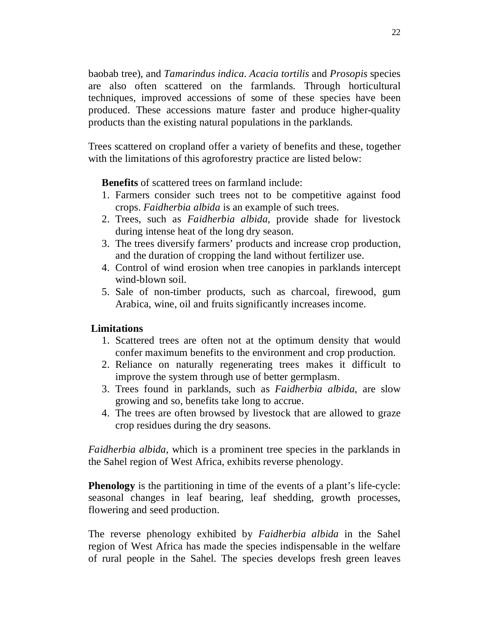baobab tree), and *Tamarindus indica*. *Acacia tortilis* and *Prosopis* species are also often scattered on the farmlands. Through horticultural techniques, improved accessions of some of these species have been produced. These accessions mature faster and produce higher-quality products than the existing natural populations in the parklands.

Trees scattered on cropland offer a variety of benefits and these, together with the limitations of this agroforestry practice are listed below:

**Benefits** of scattered trees on farmland include:

- 1. Farmers consider such trees not to be competitive against food crops. *Faidherbia albida* is an example of such trees.
- 2. Trees, such as *Faidherbia albida*, provide shade for livestock during intense heat of the long dry season.
- 3. The trees diversify farmers' products and increase crop production, and the duration of cropping the land without fertilizer use.
- 4. Control of wind erosion when tree canopies in parklands intercept wind-blown soil.
- 5. Sale of non-timber products, such as charcoal, firewood, gum Arabica, wine, oil and fruits significantly increases income.

## **Limitations**

- 1. Scattered trees are often not at the optimum density that would confer maximum benefits to the environment and crop production.
- 2. Reliance on naturally regenerating trees makes it difficult to improve the system through use of better germplasm.
- 3. Trees found in parklands, such as *Faidherbia albida*, are slow growing and so, benefits take long to accrue.
- 4. The trees are often browsed by livestock that are allowed to graze crop residues during the dry seasons.

*Faidherbia albida*, which is a prominent tree species in the parklands in the Sahel region of West Africa, exhibits reverse phenology.

**Phenology** is the partitioning in time of the events of a plant's life-cycle: seasonal changes in leaf bearing, leaf shedding, growth processes, flowering and seed production.

The reverse phenology exhibited by *Faidherbia albida* in the Sahel region of West Africa has made the species indispensable in the welfare of rural people in the Sahel. The species develops fresh green leaves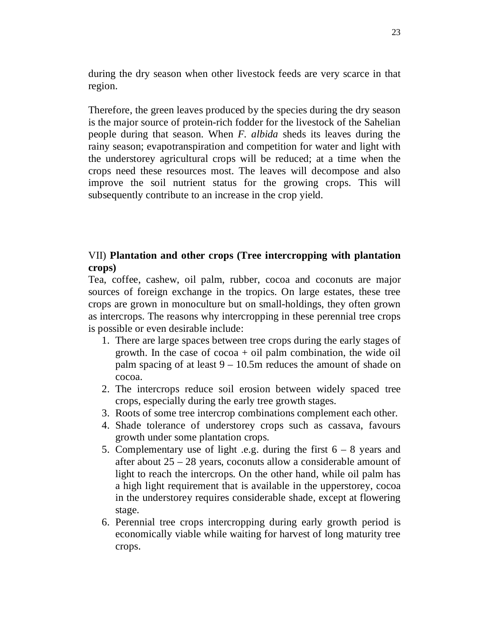during the dry season when other livestock feeds are very scarce in that region.

Therefore, the green leaves produced by the species during the dry season is the major source of protein-rich fodder for the livestock of the Sahelian people during that season. When *F. albida* sheds its leaves during the rainy season; evapotranspiration and competition for water and light with the understorey agricultural crops will be reduced; at a time when the crops need these resources most. The leaves will decompose and also improve the soil nutrient status for the growing crops. This will subsequently contribute to an increase in the crop yield.

## VII) **Plantation and other crops (Tree intercropping with plantation crops)**

Tea, coffee, cashew, oil palm, rubber, cocoa and coconuts are major sources of foreign exchange in the tropics. On large estates, these tree crops are grown in monoculture but on small-holdings, they often grown as intercrops. The reasons why intercropping in these perennial tree crops is possible or even desirable include:

- 1. There are large spaces between tree crops during the early stages of growth. In the case of  $\csc \alpha + \text{oil}$  palm combination, the wide oil palm spacing of at least  $9 - 10.5$ m reduces the amount of shade on cocoa.
- 2. The intercrops reduce soil erosion between widely spaced tree crops, especially during the early tree growth stages.
- 3. Roots of some tree intercrop combinations complement each other.
- 4. Shade tolerance of understorey crops such as cassava, favours growth under some plantation crops.
- 5. Complementary use of light .e.g. during the first  $6 8$  years and after about 25 – 28 years, coconuts allow a considerable amount of light to reach the intercrops. On the other hand, while oil palm has a high light requirement that is available in the upperstorey, cocoa in the understorey requires considerable shade, except at flowering stage.
- 6. Perennial tree crops intercropping during early growth period is economically viable while waiting for harvest of long maturity tree crops.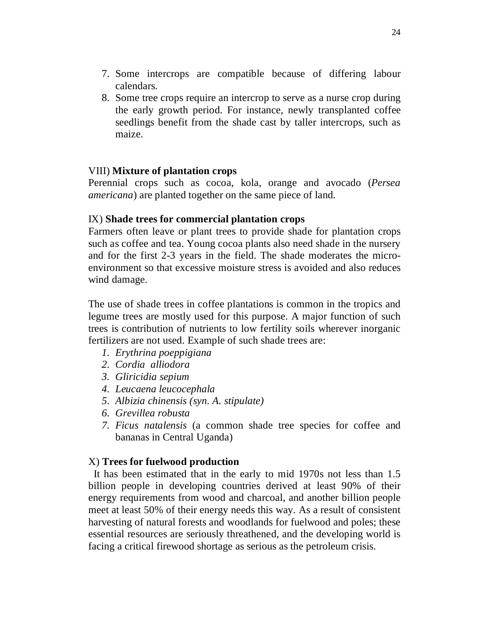- 7. Some intercrops are compatible because of differing labour calendars.
- 8. Some tree crops require an intercrop to serve as a nurse crop during the early growth period. For instance, newly transplanted coffee seedlings benefit from the shade cast by taller intercrops, such as maize.

#### VIII) **Mixture of plantation crops**

Perennial crops such as cocoa, kola, orange and avocado (*Persea americana*) are planted together on the same piece of land.

#### IX) **Shade trees for commercial plantation crops**

Farmers often leave or plant trees to provide shade for plantation crops such as coffee and tea. Young cocoa plants also need shade in the nursery and for the first 2-3 years in the field. The shade moderates the microenvironment so that excessive moisture stress is avoided and also reduces wind damage.

The use of shade trees in coffee plantations is common in the tropics and legume trees are mostly used for this purpose. A major function of such trees is contribution of nutrients to low fertility soils wherever inorganic fertilizers are not used. Example of such shade trees are:

- *1. Erythrina poeppigiana*
- *2. Cordia alliodora*
- *3. Gliricidia sepium*
- *4. Leucaena leucocephala*
- *5. Albizia chinensis (syn. A. stipulate)*
- *6. Grevillea robusta*
- *7. Ficus natalensis* (a common shade tree species for coffee and bananas in Central Uganda)

## X) **Trees for fuelwood production**

It has been estimated that in the early to mid 1970s not less than 1.5 billion people in developing countries derived at least 90% of their energy requirements from wood and charcoal, and another billion people meet at least 50% of their energy needs this way. As a result of consistent harvesting of natural forests and woodlands for fuelwood and poles; these essential resources are seriously threathened, and the developing world is facing a critical firewood shortage as serious as the petroleum crisis.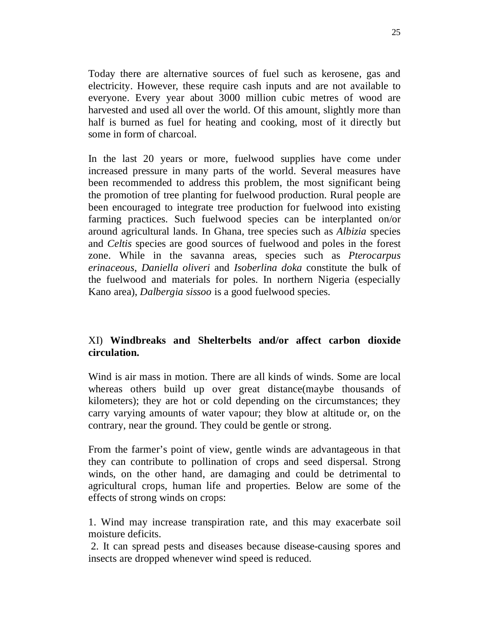Today there are alternative sources of fuel such as kerosene, gas and electricity. However, these require cash inputs and are not available to everyone. Every year about 3000 million cubic metres of wood are harvested and used all over the world. Of this amount, slightly more than half is burned as fuel for heating and cooking, most of it directly but some in form of charcoal.

In the last 20 years or more, fuelwood supplies have come under increased pressure in many parts of the world. Several measures have been recommended to address this problem, the most significant being the promotion of tree planting for fuelwood production. Rural people are been encouraged to integrate tree production for fuelwood into existing farming practices. Such fuelwood species can be interplanted on/or around agricultural lands. In Ghana, tree species such as *Albizia* species and *Celtis* species are good sources of fuelwood and poles in the forest zone. While in the savanna areas, species such as *Pterocarpus erinaceous*, *Daniella oliveri* and *Isoberlina doka* constitute the bulk of the fuelwood and materials for poles. In northern Nigeria (especially Kano area), *Dalbergia sissoo* is a good fuelwood species.

## XI) **Windbreaks and Shelterbelts and/or affect carbon dioxide circulation.**

Wind is air mass in motion. There are all kinds of winds. Some are local whereas others build up over great distance(maybe thousands of kilometers); they are hot or cold depending on the circumstances; they carry varying amounts of water vapour; they blow at altitude or, on the contrary, near the ground. They could be gentle or strong.

From the farmer's point of view, gentle winds are advantageous in that they can contribute to pollination of crops and seed dispersal. Strong winds, on the other hand, are damaging and could be detrimental to agricultural crops, human life and properties. Below are some of the effects of strong winds on crops:

1. Wind may increase transpiration rate, and this may exacerbate soil moisture deficits.

2. It can spread pests and diseases because disease-causing spores and insects are dropped whenever wind speed is reduced.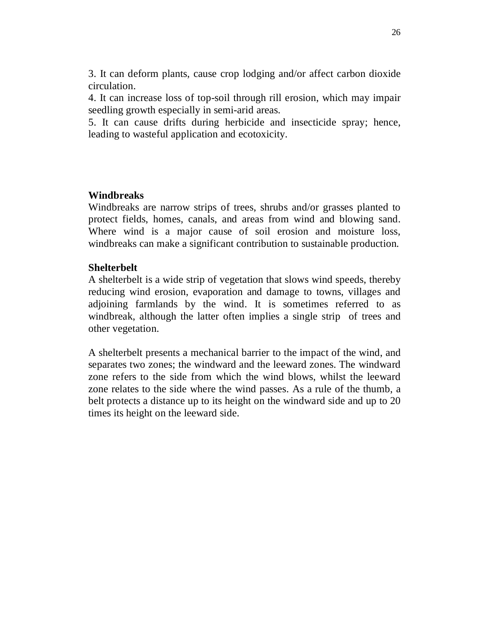3. It can deform plants, cause crop lodging and/or affect carbon dioxide circulation.

4. It can increase loss of top-soil through rill erosion, which may impair seedling growth especially in semi-arid areas.

5. It can cause drifts during herbicide and insecticide spray; hence, leading to wasteful application and ecotoxicity.

#### **Windbreaks**

Windbreaks are narrow strips of trees, shrubs and/or grasses planted to protect fields, homes, canals, and areas from wind and blowing sand. Where wind is a major cause of soil erosion and moisture loss, windbreaks can make a significant contribution to sustainable production.

#### **Shelterbelt**

A shelterbelt is a wide strip of vegetation that slows wind speeds, thereby reducing wind erosion, evaporation and damage to towns, villages and adjoining farmlands by the wind. It is sometimes referred to as windbreak, although the latter often implies a single strip of trees and other vegetation.

A shelterbelt presents a mechanical barrier to the impact of the wind, and separates two zones; the windward and the leeward zones. The windward zone refers to the side from which the wind blows, whilst the leeward zone relates to the side where the wind passes. As a rule of the thumb, a belt protects a distance up to its height on the windward side and up to 20 times its height on the leeward side.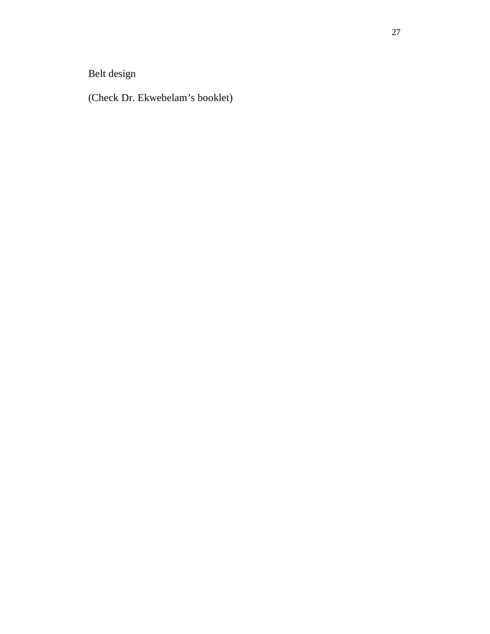Belt design

(Check Dr. Ekwebelam's booklet)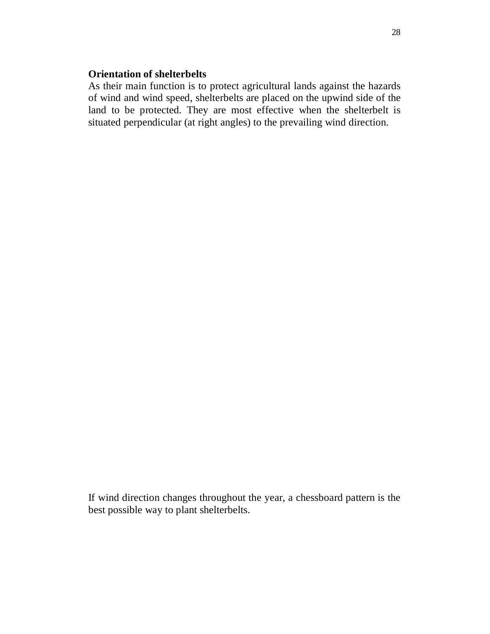#### **Orientation of shelterbelts**

As their main function is to protect agricultural lands against the hazards of wind and wind speed, shelterbelts are placed on the upwind side of the land to be protected. They are most effective when the shelterbelt is situated perpendicular (at right angles) to the prevailing wind direction.

If wind direction changes throughout the year, a chessboard pattern is the best possible way to plant shelterbelts.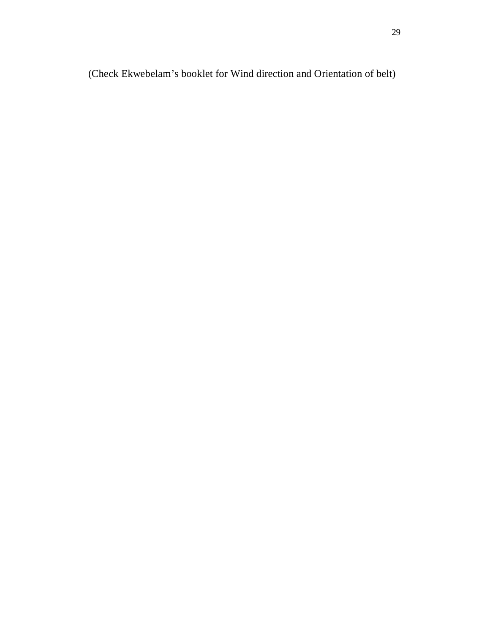(Check Ekwebelam's booklet for Wind direction and Orientation of belt)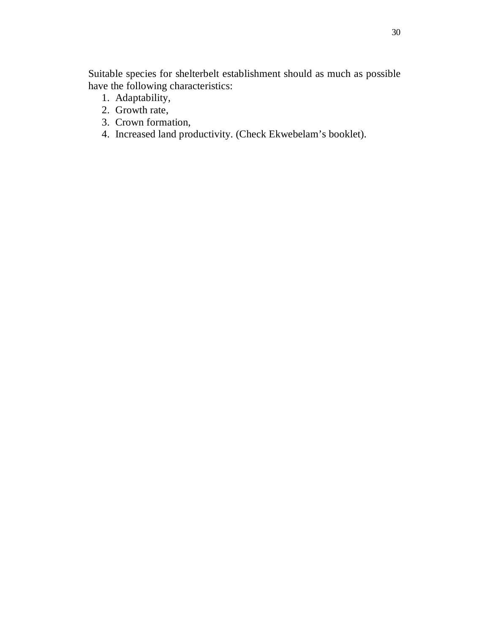Suitable species for shelterbelt establishment should as much as possible have the following characteristics:

- 1. Adaptability,
- 2. Growth rate,
- 3. Crown formation,
- 4. Increased land productivity. (Check Ekwebelam's booklet).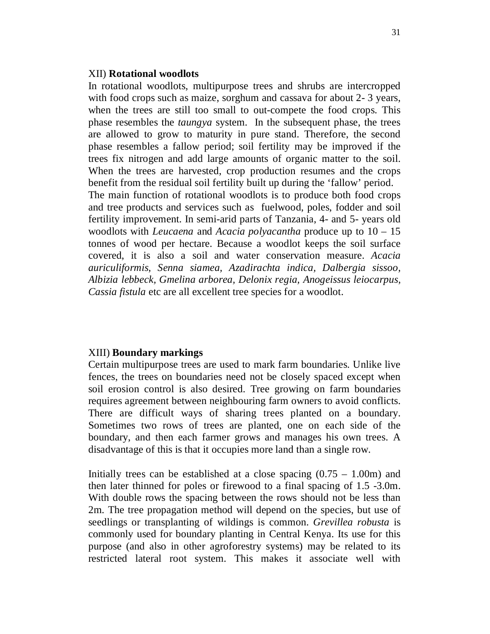#### XII) **Rotational woodlots**

In rotational woodlots, multipurpose trees and shrubs are intercropped with food crops such as maize, sorghum and cassava for about 2- 3 years, when the trees are still too small to out-compete the food crops. This phase resembles the *taungya* system. In the subsequent phase, the trees are allowed to grow to maturity in pure stand. Therefore, the second phase resembles a fallow period; soil fertility may be improved if the trees fix nitrogen and add large amounts of organic matter to the soil. When the trees are harvested, crop production resumes and the crops benefit from the residual soil fertility built up during the 'fallow' period. The main function of rotational woodlots is to produce both food crops and tree products and services such as fuelwood, poles, fodder and soil fertility improvement. In semi-arid parts of Tanzania, 4- and 5- years old woodlots with *Leucaena* and *Acacia polyacantha* produce up to 10 – 15 tonnes of wood per hectare. Because a woodlot keeps the soil surface covered, it is also a soil and water conservation measure. *Acacia auriculiformis, Senna siamea, Azadirachta indica, Dalbergia sissoo, Albizia lebbeck, Gmelina arborea, Delonix regia, Anogeissus leiocarpus, Cassia fistula* etc are all excellent tree species for a woodlot.

#### XIII) **Boundary markings**

Certain multipurpose trees are used to mark farm boundaries. Unlike live fences, the trees on boundaries need not be closely spaced except when soil erosion control is also desired. Tree growing on farm boundaries requires agreement between neighbouring farm owners to avoid conflicts. There are difficult ways of sharing trees planted on a boundary. Sometimes two rows of trees are planted, one on each side of the boundary, and then each farmer grows and manages his own trees. A disadvantage of this is that it occupies more land than a single row.

Initially trees can be established at a close spacing  $(0.75 - 1.00m)$  and then later thinned for poles or firewood to a final spacing of 1.5 -3.0m. With double rows the spacing between the rows should not be less than 2m. The tree propagation method will depend on the species, but use of seedlings or transplanting of wildings is common. *Grevillea robusta* is commonly used for boundary planting in Central Kenya. Its use for this purpose (and also in other agroforestry systems) may be related to its restricted lateral root system. This makes it associate well with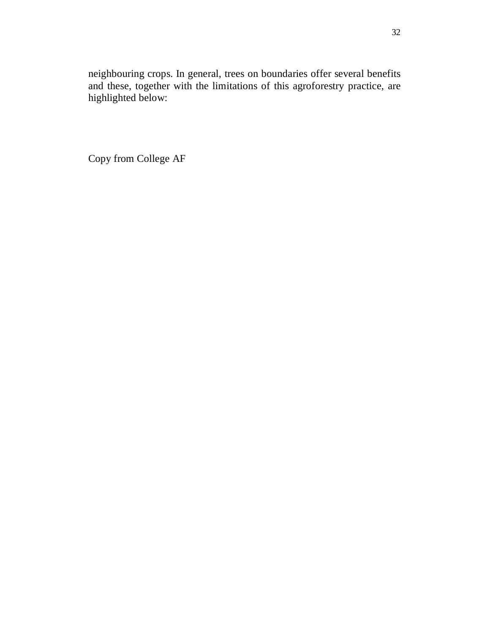neighbouring crops. In general, trees on boundaries offer several benefits and these, together with the limitations of this agroforestry practice, are highlighted below:

Copy from College AF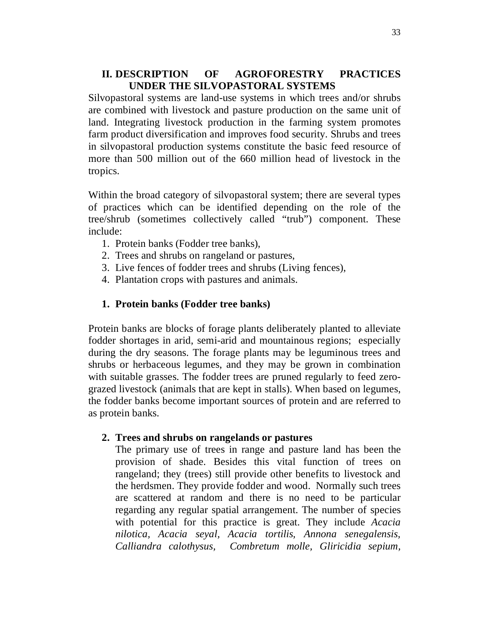## **II. DESCRIPTION OF AGROFORESTRY PRACTICES UNDER THE SILVOPASTORAL SYSTEMS**

Silvopastoral systems are land-use systems in which trees and/or shrubs are combined with livestock and pasture production on the same unit of land. Integrating livestock production in the farming system promotes farm product diversification and improves food security. Shrubs and trees in silvopastoral production systems constitute the basic feed resource of more than 500 million out of the 660 million head of livestock in the tropics.

Within the broad category of silvopastoral system; there are several types of practices which can be identified depending on the role of the tree/shrub (sometimes collectively called "trub") component. These include:

- 1. Protein banks (Fodder tree banks),
- 2. Trees and shrubs on rangeland or pastures,
- 3. Live fences of fodder trees and shrubs (Living fences),
- 4. Plantation crops with pastures and animals.

#### **1. Protein banks (Fodder tree banks)**

Protein banks are blocks of forage plants deliberately planted to alleviate fodder shortages in arid, semi-arid and mountainous regions; especially during the dry seasons. The forage plants may be leguminous trees and shrubs or herbaceous legumes, and they may be grown in combination with suitable grasses. The fodder trees are pruned regularly to feed zerograzed livestock (animals that are kept in stalls). When based on legumes, the fodder banks become important sources of protein and are referred to as protein banks.

#### **2. Trees and shrubs on rangelands or pastures**

The primary use of trees in range and pasture land has been the provision of shade. Besides this vital function of trees on rangeland; they (trees) still provide other benefits to livestock and the herdsmen. They provide fodder and wood. Normally such trees are scattered at random and there is no need to be particular regarding any regular spatial arrangement. The number of species with potential for this practice is great. They include *Acacia nilotica, Acacia seyal, Acacia tortilis, Annona senegalensis, Calliandra calothysus, Combretum molle, Gliricidia sepium,*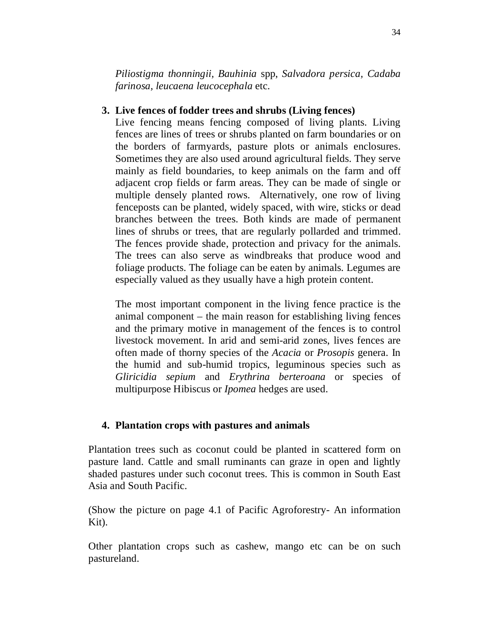*Piliostigma thonningii, Bauhinia* spp, *Salvadora persica, Cadaba farinosa, leucaena leucocephala* etc.

## **3. Live fences of fodder trees and shrubs (Living fences)**

Live fencing means fencing composed of living plants. Living fences are lines of trees or shrubs planted on farm boundaries or on the borders of farmyards, pasture plots or animals enclosures. Sometimes they are also used around agricultural fields. They serve mainly as field boundaries, to keep animals on the farm and off adjacent crop fields or farm areas. They can be made of single or multiple densely planted rows. Alternatively, one row of living fenceposts can be planted, widely spaced, with wire, sticks or dead branches between the trees. Both kinds are made of permanent lines of shrubs or trees, that are regularly pollarded and trimmed. The fences provide shade, protection and privacy for the animals. The trees can also serve as windbreaks that produce wood and foliage products. The foliage can be eaten by animals. Legumes are especially valued as they usually have a high protein content.

The most important component in the living fence practice is the animal component – the main reason for establishing living fences and the primary motive in management of the fences is to control livestock movement. In arid and semi-arid zones, lives fences are often made of thorny species of the *Acacia* or *Prosopis* genera. In the humid and sub-humid tropics, leguminous species such as *Gliricidia sepium* and *Erythrina berteroana* or species of multipurpose Hibiscus or *Ipomea* hedges are used.

## **4. Plantation crops with pastures and animals**

Plantation trees such as coconut could be planted in scattered form on pasture land. Cattle and small ruminants can graze in open and lightly shaded pastures under such coconut trees. This is common in South East Asia and South Pacific.

(Show the picture on page 4.1 of Pacific Agroforestry- An information Kit).

Other plantation crops such as cashew, mango etc can be on such pastureland.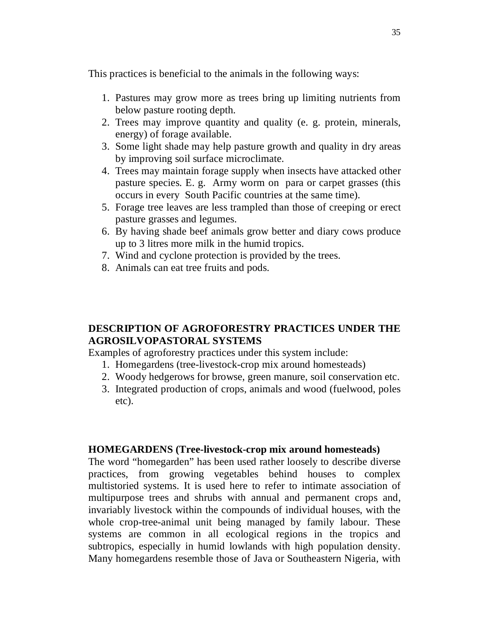This practices is beneficial to the animals in the following ways:

- 1. Pastures may grow more as trees bring up limiting nutrients from below pasture rooting depth.
- 2. Trees may improve quantity and quality (e. g. protein, minerals, energy) of forage available.
- 3. Some light shade may help pasture growth and quality in dry areas by improving soil surface microclimate.
- 4. Trees may maintain forage supply when insects have attacked other pasture species. E. g. Army worm on para or carpet grasses (this occurs in every South Pacific countries at the same time).
- 5. Forage tree leaves are less trampled than those of creeping or erect pasture grasses and legumes.
- 6. By having shade beef animals grow better and diary cows produce up to 3 litres more milk in the humid tropics.
- 7. Wind and cyclone protection is provided by the trees.
- 8. Animals can eat tree fruits and pods.

## **DESCRIPTION OF AGROFORESTRY PRACTICES UNDER THE AGROSILVOPASTORAL SYSTEMS**

Examples of agroforestry practices under this system include:

- 1. Homegardens (tree-livestock-crop mix around homesteads)
- 2. Woody hedgerows for browse, green manure, soil conservation etc.
- 3. Integrated production of crops, animals and wood (fuelwood, poles etc).

#### **HOMEGARDENS (Tree-livestock-crop mix around homesteads)**

The word "homegarden" has been used rather loosely to describe diverse practices, from growing vegetables behind houses to complex multistoried systems. It is used here to refer to intimate association of multipurpose trees and shrubs with annual and permanent crops and, invariably livestock within the compounds of individual houses, with the whole crop-tree-animal unit being managed by family labour. These systems are common in all ecological regions in the tropics and subtropics, especially in humid lowlands with high population density. Many homegardens resemble those of Java or Southeastern Nigeria, with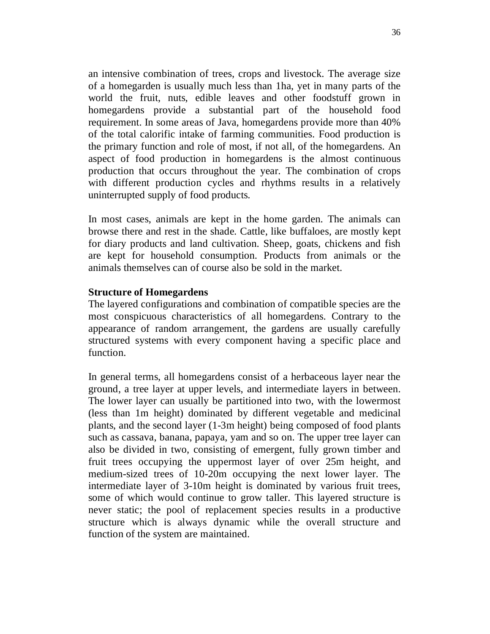an intensive combination of trees, crops and livestock. The average size of a homegarden is usually much less than 1ha, yet in many parts of the world the fruit, nuts, edible leaves and other foodstuff grown in homegardens provide a substantial part of the household food requirement. In some areas of Java, homegardens provide more than 40% of the total calorific intake of farming communities. Food production is the primary function and role of most, if not all, of the homegardens. An aspect of food production in homegardens is the almost continuous production that occurs throughout the year. The combination of crops with different production cycles and rhythms results in a relatively uninterrupted supply of food products.

In most cases, animals are kept in the home garden. The animals can browse there and rest in the shade. Cattle, like buffaloes, are mostly kept for diary products and land cultivation. Sheep, goats, chickens and fish are kept for household consumption. Products from animals or the animals themselves can of course also be sold in the market.

#### **Structure of Homegardens**

The layered configurations and combination of compatible species are the most conspicuous characteristics of all homegardens. Contrary to the appearance of random arrangement, the gardens are usually carefully structured systems with every component having a specific place and function.

In general terms, all homegardens consist of a herbaceous layer near the ground, a tree layer at upper levels, and intermediate layers in between. The lower layer can usually be partitioned into two, with the lowermost (less than 1m height) dominated by different vegetable and medicinal plants, and the second layer (1-3m height) being composed of food plants such as cassava, banana, papaya, yam and so on. The upper tree layer can also be divided in two, consisting of emergent, fully grown timber and fruit trees occupying the uppermost layer of over 25m height, and medium-sized trees of 10-20m occupying the next lower layer. The intermediate layer of 3-10m height is dominated by various fruit trees, some of which would continue to grow taller. This layered structure is never static; the pool of replacement species results in a productive structure which is always dynamic while the overall structure and function of the system are maintained.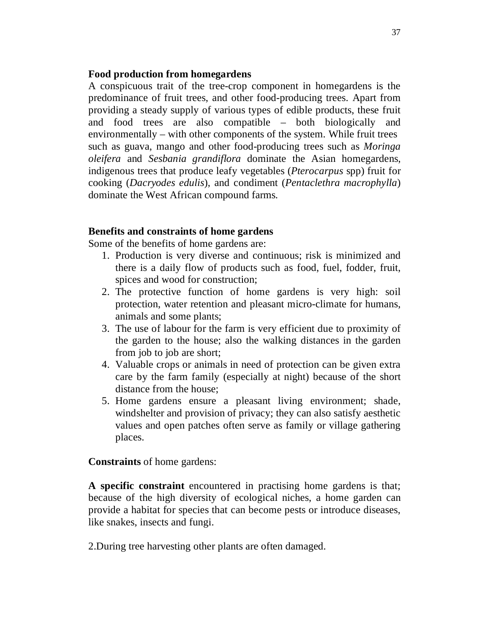#### **Food production from homegardens**

A conspicuous trait of the tree-crop component in homegardens is the predominance of fruit trees, and other food-producing trees. Apart from providing a steady supply of various types of edible products, these fruit and food trees are also compatible – both biologically and environmentally – with other components of the system. While fruit trees such as guava, mango and other food-producing trees such as *Moringa oleifera* and *Sesbania grandiflora* dominate the Asian homegardens, indigenous trees that produce leafy vegetables (*Pterocarpus* spp) fruit for cooking (*Dacryodes edulis*), and condiment (*Pentaclethra macrophylla*) dominate the West African compound farms.

#### **Benefits and constraints of home gardens**

Some of the benefits of home gardens are:

- 1. Production is very diverse and continuous; risk is minimized and there is a daily flow of products such as food, fuel, fodder, fruit, spices and wood for construction;
- 2. The protective function of home gardens is very high: soil protection, water retention and pleasant micro-climate for humans, animals and some plants;
- 3. The use of labour for the farm is very efficient due to proximity of the garden to the house; also the walking distances in the garden from job to job are short;
- 4. Valuable crops or animals in need of protection can be given extra care by the farm family (especially at night) because of the short distance from the house;
- 5. Home gardens ensure a pleasant living environment; shade, windshelter and provision of privacy; they can also satisfy aesthetic values and open patches often serve as family or village gathering places.

#### **Constraints** of home gardens:

**A specific constraint** encountered in practising home gardens is that; because of the high diversity of ecological niches, a home garden can provide a habitat for species that can become pests or introduce diseases, like snakes, insects and fungi.

2.During tree harvesting other plants are often damaged.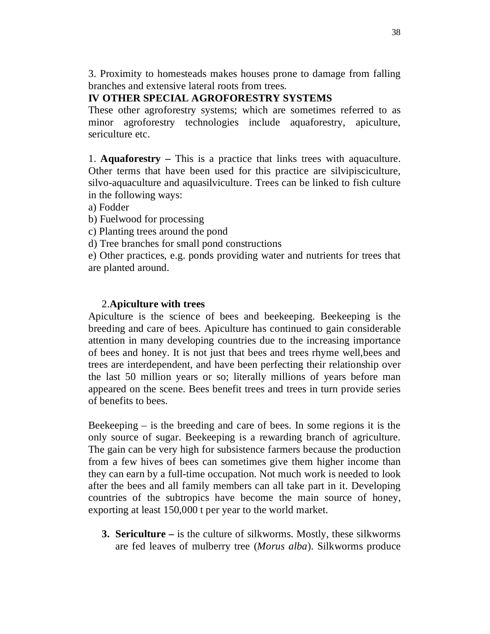3. Proximity to homesteads makes houses prone to damage from falling branches and extensive lateral roots from trees.

## **IV OTHER SPECIAL AGROFORESTRY SYSTEMS**

These other agroforestry systems; which are sometimes referred to as minor agroforestry technologies include aquaforestry, apiculture, sericulture etc.

1. **Aquaforestry –** This is a practice that links trees with aquaculture. Other terms that have been used for this practice are silvipisciculture, silvo-aquaculture and aquasilviculture. Trees can be linked to fish culture in the following ways:

a) Fodder

b) Fuelwood for processing

c) Planting trees around the pond

d) Tree branches for small pond constructions

e) Other practices, e.g. ponds providing water and nutrients for trees that are planted around.

#### 2.**Apiculture with trees**

Apiculture is the science of bees and beekeeping. Beekeeping is the breeding and care of bees. Apiculture has continued to gain considerable attention in many developing countries due to the increasing importance of bees and honey. It is not just that bees and trees rhyme well,bees and trees are interdependent, and have been perfecting their relationship over the last 50 million years or so; literally millions of years before man appeared on the scene. Bees benefit trees and trees in turn provide series of benefits to bees.

Beekeeping – is the breeding and care of bees. In some regions it is the only source of sugar. Beekeeping is a rewarding branch of agriculture. The gain can be very high for subsistence farmers because the production from a few hives of bees can sometimes give them higher income than they can earn by a full-time occupation. Not much work is needed to look after the bees and all family members can all take part in it. Developing countries of the subtropics have become the main source of honey, exporting at least 150,000 t per year to the world market.

**3. Sericulture –** is the culture of silkworms. Mostly, these silkworms are fed leaves of mulberry tree (*Morus alba*). Silkworms produce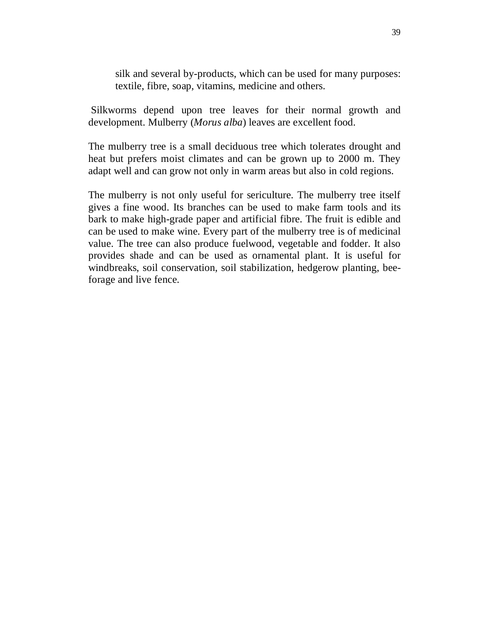silk and several by-products, which can be used for many purposes: textile, fibre, soap, vitamins, medicine and others.

Silkworms depend upon tree leaves for their normal growth and development. Mulberry (*Morus alba*) leaves are excellent food.

The mulberry tree is a small deciduous tree which tolerates drought and heat but prefers moist climates and can be grown up to 2000 m. They adapt well and can grow not only in warm areas but also in cold regions.

The mulberry is not only useful for sericulture. The mulberry tree itself gives a fine wood. Its branches can be used to make farm tools and its bark to make high-grade paper and artificial fibre. The fruit is edible and can be used to make wine. Every part of the mulberry tree is of medicinal value. The tree can also produce fuelwood, vegetable and fodder. It also provides shade and can be used as ornamental plant. It is useful for windbreaks, soil conservation, soil stabilization, hedgerow planting, beeforage and live fence.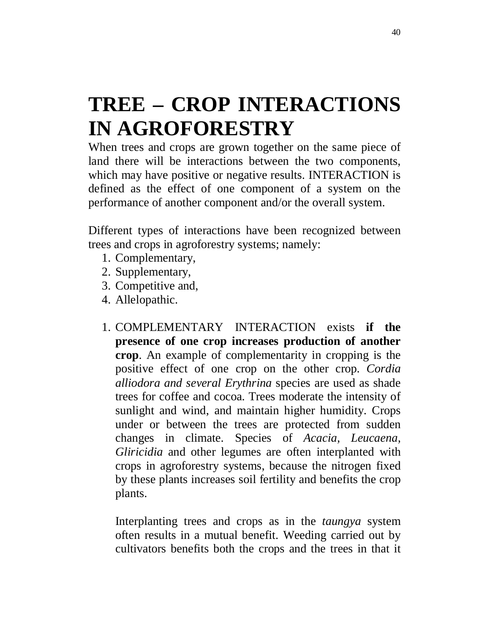## **TREE – CROP INTERACTIONS IN AGROFORESTRY**

When trees and crops are grown together on the same piece of land there will be interactions between the two components, which may have positive or negative results. INTERACTION is defined as the effect of one component of a system on the performance of another component and/or the overall system.

Different types of interactions have been recognized between trees and crops in agroforestry systems; namely:

- 1. Complementary,
- 2. Supplementary,
- 3. Competitive and,
- 4. Allelopathic.
- 1. COMPLEMENTARY INTERACTION exists **if the presence of one crop increases production of another crop**. An example of complementarity in cropping is the positive effect of one crop on the other crop. *Cordia alliodora and several Erythrina* species are used as shade trees for coffee and cocoa. Trees moderate the intensity of sunlight and wind, and maintain higher humidity. Crops under or between the trees are protected from sudden changes in climate. Species of *Acacia, Leucaena, Gliricidia* and other legumes are often interplanted with crops in agroforestry systems, because the nitrogen fixed by these plants increases soil fertility and benefits the crop plants.

Interplanting trees and crops as in the *taungya* system often results in a mutual benefit. Weeding carried out by cultivators benefits both the crops and the trees in that it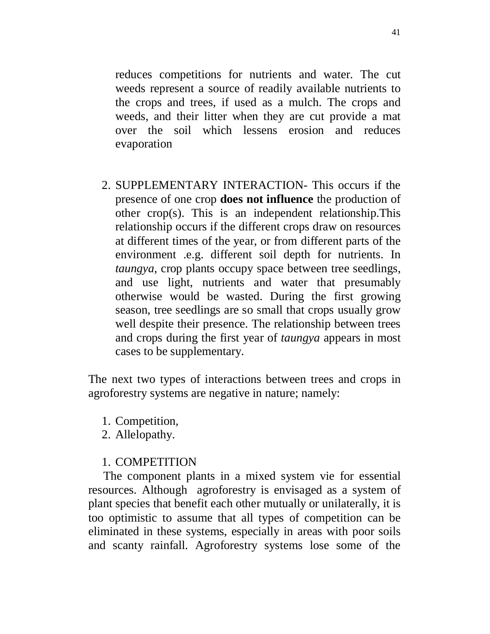reduces competitions for nutrients and water. The cut weeds represent a source of readily available nutrients to the crops and trees, if used as a mulch. The crops and weeds, and their litter when they are cut provide a mat over the soil which lessens erosion and reduces evaporation

2. SUPPLEMENTARY INTERACTION- This occurs if the presence of one crop **does not influence** the production of other crop(s). This is an independent relationship.This relationship occurs if the different crops draw on resources at different times of the year, or from different parts of the environment .e.g. different soil depth for nutrients. In *taungya*, crop plants occupy space between tree seedlings, and use light, nutrients and water that presumably otherwise would be wasted. During the first growing season, tree seedlings are so small that crops usually grow well despite their presence. The relationship between trees and crops during the first year of *taungya* appears in most cases to be supplementary.

The next two types of interactions between trees and crops in agroforestry systems are negative in nature; namely:

1. Competition,

2. Allelopathy.

## 1. COMPETITION

 The component plants in a mixed system vie for essential resources. Although agroforestry is envisaged as a system of plant species that benefit each other mutually or unilaterally, it is too optimistic to assume that all types of competition can be eliminated in these systems, especially in areas with poor soils and scanty rainfall. Agroforestry systems lose some of the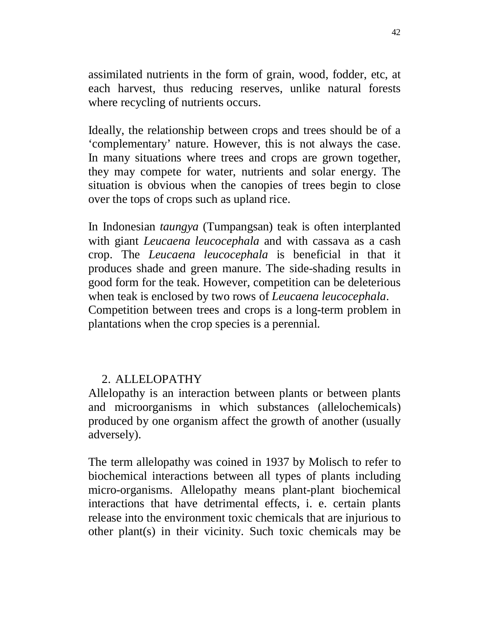assimilated nutrients in the form of grain, wood, fodder, etc, at each harvest, thus reducing reserves, unlike natural forests where recycling of nutrients occurs.

Ideally, the relationship between crops and trees should be of a 'complementary' nature. However, this is not always the case. In many situations where trees and crops are grown together, they may compete for water, nutrients and solar energy. The situation is obvious when the canopies of trees begin to close over the tops of crops such as upland rice.

In Indonesian *taungya* (Tumpangsan) teak is often interplanted with giant *Leucaena leucocephala* and with cassava as a cash crop. The *Leucaena leucocephala* is beneficial in that it produces shade and green manure. The side-shading results in good form for the teak. However, competition can be deleterious when teak is enclosed by two rows of *Leucaena leucocephala*. Competition between trees and crops is a long-term problem in plantations when the crop species is a perennial.

## 2. ALLELOPATHY

Allelopathy is an interaction between plants or between plants and microorganisms in which substances (allelochemicals) produced by one organism affect the growth of another (usually adversely).

The term allelopathy was coined in 1937 by Molisch to refer to biochemical interactions between all types of plants including micro-organisms. Allelopathy means plant-plant biochemical interactions that have detrimental effects, i. e. certain plants release into the environment toxic chemicals that are injurious to other plant(s) in their vicinity. Such toxic chemicals may be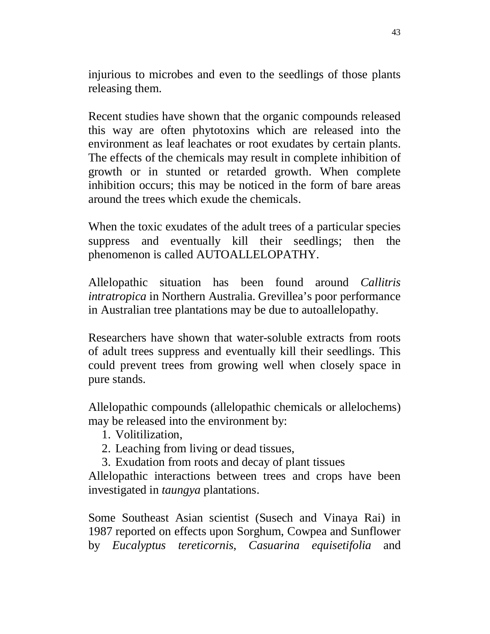injurious to microbes and even to the seedlings of those plants releasing them.

Recent studies have shown that the organic compounds released this way are often phytotoxins which are released into the environment as leaf leachates or root exudates by certain plants. The effects of the chemicals may result in complete inhibition of growth or in stunted or retarded growth. When complete inhibition occurs; this may be noticed in the form of bare areas around the trees which exude the chemicals.

When the toxic exudates of the adult trees of a particular species suppress and eventually kill their seedlings; then the phenomenon is called AUTOALLELOPATHY.

Allelopathic situation has been found around *Callitris intratropica* in Northern Australia. Grevillea's poor performance in Australian tree plantations may be due to autoallelopathy.

Researchers have shown that water-soluble extracts from roots of adult trees suppress and eventually kill their seedlings. This could prevent trees from growing well when closely space in pure stands.

Allelopathic compounds (allelopathic chemicals or allelochems) may be released into the environment by:

- 1. Volitilization,
- 2. Leaching from living or dead tissues,
- 3. Exudation from roots and decay of plant tissues

Allelopathic interactions between trees and crops have been investigated in *taungya* plantations.

Some Southeast Asian scientist (Susech and Vinaya Rai) in 1987 reported on effects upon Sorghum, Cowpea and Sunflower by *Eucalyptus tereticornis*, *Casuarina equisetifolia* and